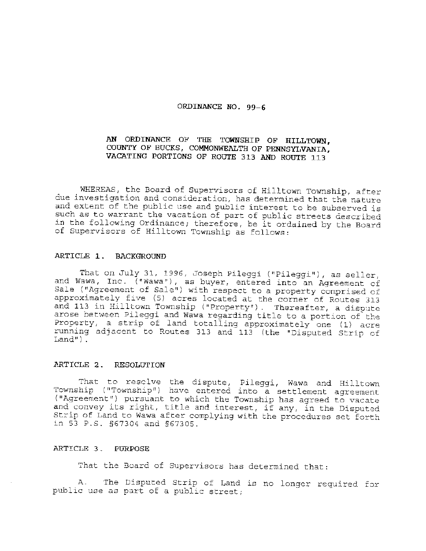## **ORDINANCE NO. 99-6**

# **AN ORDINANCE OF THE TOWNSHIP OF HILLTOWN, COUNTY OF BUCKS, COMMONWEALTH OF PENNSYLVANIA,**  VACATING PORTIONS OF ROUTE 313 AND ROUTE 113

WHEREAS, the Board of Supervisors of Hilltown Township, after due investigation and consideration, has determined that the nature and extent of the public use and public interest to be subserved is such as to warrant the vacation of part of public streets described in the following Ordinance; therefore, be it ordained by the Board of Supervisors of Hilltown Township as follows:

## **ARTICLE 1** . **BACKGROUND**

That on July 31, 1996, Joseph Pileggi ("Pileggi"), as seller, and Wawa, Inc. ("Wawa"), as buyer, entered into an Agreement of Sale ("Agreement of Sale") with respect to a property comprised of approximately five (5) acres located at the corner of Routes 313 and 113 in Hilltown Township ("Property"). Thereafter, a dispute arose between Pileggi and Wawa regarding title to a portion of the Property, a strip of land totalling approximately one (1) acre running adjacent to Routes 313 and 113 (the "Disputed Strip of  $Land'$ ).

## **P..RTICLE 2. RESOLOTION**

That to resclve the dispute, Pileggi, Wawa and Hilltown Township ("Township") have entered into a settlement agreement ("Agreement") pursuant to which the Township has agreed to vacate and convey its right, title and interest, if any, in the Disputed Strip of Land to Wawa after complying with the procedures set forth in 53 P .S. §67304 and §67305.

## ARTICLE 3. PURPOSE

That the Board of Supervisors has determined that:

A. The Disputed Strip of Land is no longer required. for public use as part of a public street;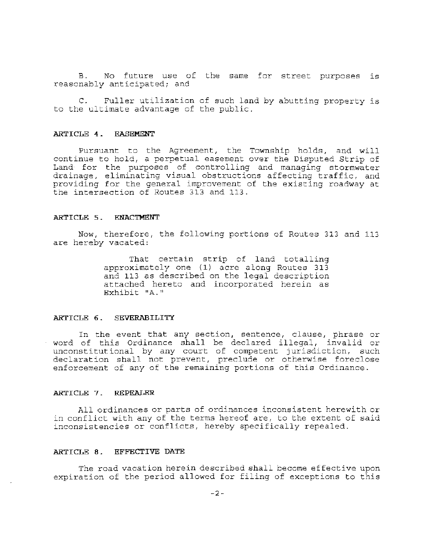B. No future use of the same for street purposes is reasonably anticipated; and

C. Fuller utilization of such land by abutting property is to the ultimate advantage of the public.

#### **ARTICLE 4. EASEMENT**

Pursuant to the Agreement, the Township holds, and will continue to hold, a perpetual easement over the Disputed Strip of Land· for the purposes of controlling and managing stormwater drainage, eliminating visual obstructions affecting traffic, and providing for the general improvement of the existing roadway at the intersection of Routes 313 and 113 .

#### **ARTICLE** 5. **ENACTMENT**

Now, therefore, the following portions of Routes 313 and 113 are hereby vacated:

> That certain strip of land totalling approximately one (1) acre along Routes 313 and 113 as described on the legal description attached hereto and incorporated herein as Exhibit "A."

## **ARTICLE 6. SEVERABILITY**

In the event that any section, sentence, clause, phrase or word of this Ordinance shall be declared illegal, invalid or unconstitutional by any court of competent jurisdiction, such declaration shall not prevent, preclude or otherwise foreclose enforcement of any of the remaining portions of this Ordinance.

### **ARTICLE 7. REPEALER**

All ordinances or parts of ordinances inconsistent herewith or in conflict with any of the terms hereof are, to the extent of said inconsistencies or conflicts, hereby specifically repealed.

## **ARTICLE 8. EFFECTIVE DATE**

The road vacation herein described shall become effective upon expiration of the period allowed for filing of exceptions to this